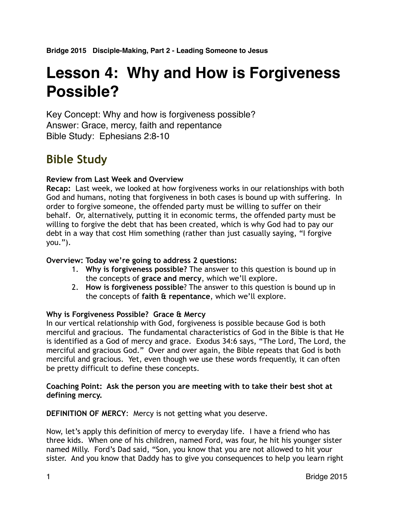# **Lesson 4: Why and How is Forgiveness Possible?**

Key Concept: Why and how is forgiveness possible? Answer: Grace, mercy, faith and repentance Bible Study: Ephesians 2:8-10

# **Bible Study**

# **Review from Last Week and Overview**

**Recap:** Last week, we looked at how forgiveness works in our relationships with both God and humans, noting that forgiveness in both cases is bound up with suffering. In order to forgive someone, the offended party must be willing to suffer on their behalf. Or, alternatively, putting it in economic terms, the offended party must be willing to forgive the debt that has been created, which is why God had to pay our debt in a way that cost Him something (rather than just casually saying, "I forgive you.").

# **Overview: Today we're going to address 2 questions:**

- 1. **Why is forgiveness possible?** The answer to this question is bound up in the concepts of **grace and mercy**, which we'll explore.
- 2. **How is forgiveness possible**? The answer to this question is bound up in the concepts of **faith & repentance**, which we'll explore.

# **Why is Forgiveness Possible? Grace & Mercy**

In our vertical relationship with God, forgiveness is possible because God is both merciful and gracious. The fundamental characteristics of God in the Bible is that He is identified as a God of mercy and grace. Exodus 34:6 says, "The Lord, The Lord, the merciful and gracious God." Over and over again, the Bible repeats that God is both merciful and gracious. Yet, even though we use these words frequently, it can often be pretty difficult to define these concepts.

# **Coaching Point: Ask the person you are meeting with to take their best shot at defining mercy.**

**DEFINITION OF MERCY**: Mercy is not getting what you deserve.

Now, let's apply this definition of mercy to everyday life. I have a friend who has three kids. When one of his children, named Ford, was four, he hit his younger sister named Milly. Ford's Dad said, "Son, you know that you are not allowed to hit your sister. And you know that Daddy has to give you consequences to help you learn right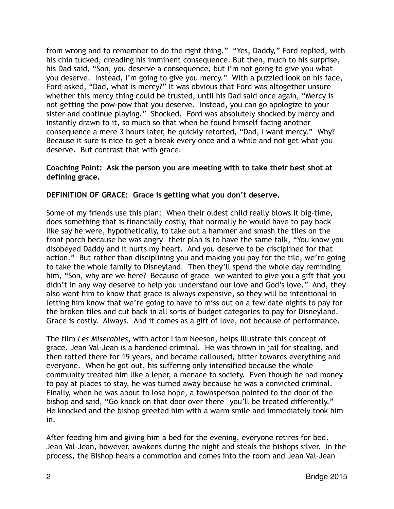from wrong and to remember to do the right thing." "Yes, Daddy," Ford replied, with his chin tucked, dreading his imminent consequence. But then, much to his surprise, his Dad said, "Son, you deserve a consequence, but I'm not going to give you what you deserve. Instead, I'm going to give you mercy." With a puzzled look on his face, Ford asked, "Dad, what is mercy?" It was obvious that Ford was altogether unsure whether this mercy thing could be trusted, until his Dad said once again, "Mercy is not getting the pow-pow that you deserve. Instead, you can go apologize to your sister and continue playing." Shocked. Ford was absolutely shocked by mercy and instantly drawn to it, so much so that when he found himself facing another consequence a mere 3 hours later, he quickly retorted, "Dad, I want mercy." Why? Because it sure is nice to get a break every once and a while and not get what you deserve. But contrast that with grace.

# **Coaching Point: Ask the person you are meeting with to take their best shot at defining grace.**

# **DEFINITION OF GRACE: Grace is getting what you don't deserve.**

Some of my friends use this plan: When their oldest child really blows it big-time, does something that is financially costly, that normally he would have to pay back like say he were, hypothetically, to take out a hammer and smash the tiles on the front porch because he was angry—their plan is to have the same talk, "You know you disobeyed Daddy and it hurts my heart. And you deserve to be disciplined for that action." But rather than disciplining you and making you pay for the tile, we're going to take the whole family to Disneyland. Then they'll spend the whole day reminding him, "Son, why are we here? Because of grace—we wanted to give you a gift that you didn't in any way deserve to help you understand our love and God's love." And, they also want him to know that grace is always expensive, so they will be intentional in letting him know that we're going to have to miss out on a few date nights to pay for the broken tiles and cut back in all sorts of budget categories to pay for Disneyland. Grace is costly. Always. And it comes as a gift of love, not because of performance.

The film *Les Miserables*, with actor Liam Neeson, helps illustrate this concept of grace. Jean Val-Jean is a hardened criminal. He was thrown in jail for stealing, and then rotted there for 19 years, and became calloused, bitter towards everything and everyone. When he got out, his suffering only intensified because the whole community treated him like a leper, a menace to society. Even though he had money to pay at places to stay, he was turned away because he was a convicted criminal. Finally, when he was about to lose hope, a townsperson pointed to the door of the bishop and said, "Go knock on that door over there—you'll be treated differently." He knocked and the bishop greeted him with a warm smile and immediately took him in.

After feeding him and giving him a bed for the evening, everyone retires for bed. Jean Val-Jean, however, awakens during the night and steals the bishops silver. In the process, the Bishop hears a commotion and comes into the room and Jean Val-Jean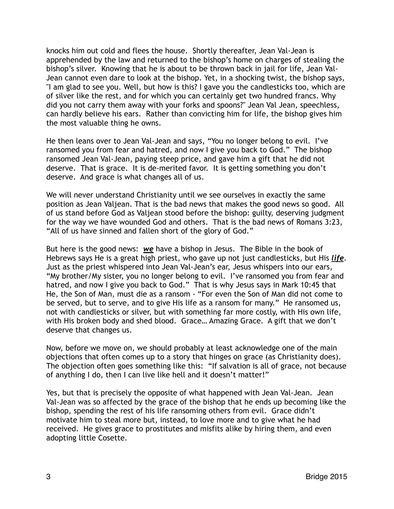knocks him out cold and flees the house. Shortly thereafter, Jean Val-Jean is apprehended by the law and returned to the bishop's home on charges of stealing the bishop's silver. Knowing that he is about to be thrown back in jail for life, Jean Val-Jean cannot even dare to look at the bishop. Yet, in a shocking twist, the bishop says, "I am glad to see you. Well, but how is this? I gave you the candlesticks too, which are of silver like the rest, and for which you can certainly get two hundred francs. Why did you not carry them away with your forks and spoons?" Jean Val Jean, speechless, can hardly believe his ears. Rather than convicting him for life, the bishop gives him the most valuable thing he owns.

He then leans over to Jean Val-Jean and says, "You no longer belong to evil. I've ransomed you from fear and hatred, and now I give you back to God." The bishop ransomed Jean Val-Jean, paying steep price, and gave him a gift that he did not deserve. That is grace. It is de-merited favor. It is getting something you don't deserve. And grace is what changes all of us.

We will never understand Christianity until we see ourselves in exactly the same position as Jean Valjean. That is the bad news that makes the good news so good. All of us stand before God as Valjean stood before the bishop: guilty, deserving judgment for the way we have wounded God and others. That is the bad news of Romans 3:23, "All of us have sinned and fallen short of the glory of God."

But here is the good news: *we* have a bishop in Jesus. The Bible in the book of Hebrews says He is a great high priest, who gave up not just candlesticks, but His *life*. Just as the priest whispered into Jean Val-Jean's ear, Jesus whispers into our ears, "My brother/My sister, you no longer belong to evil. I've ransomed you from fear and hatred, and now I give you back to God." That is why Jesus says in Mark 10:45 that He, the Son of Man, must die as a ransom - "For even the Son of Man did not come to be served, but to serve, and to give His life as a ransom for many." He ransomed us, not with candlesticks or silver, but with something far more costly, with His own life, with His broken body and shed blood. Grace… Amazing Grace. A gift that we don't deserve that changes us.

Now, before we move on, we should probably at least acknowledge one of the main objections that often comes up to a story that hinges on grace (as Christianity does). The objection often goes something like this: "If salvation is all of grace, not because of anything I do, then I can live like hell and it doesn't matter!"

Yes, but that is precisely the opposite of what happened with Jean Val-Jean. Jean Val-Jean was so affected by the grace of the bishop that he ends up becoming like the bishop, spending the rest of his life ransoming others from evil. Grace didn't motivate him to steal more but, instead, to love more and to give what he had received. He gives grace to prostitutes and misfits alike by hiring them, and even adopting little Cosette.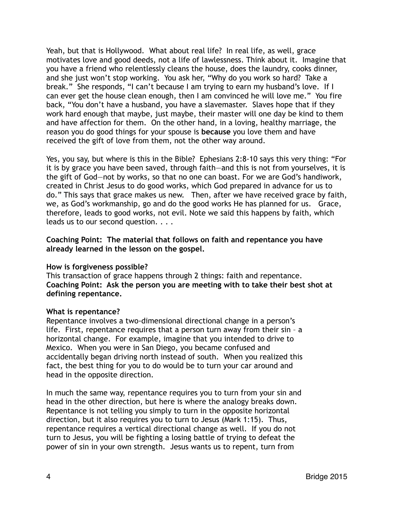Yeah, but that is Hollywood. What about real life? In real life, as well, grace motivates love and good deeds, not a life of lawlessness. Think about it. Imagine that you have a friend who relentlessly cleans the house, does the laundry, cooks dinner, and she just won't stop working. You ask her, "Why do you work so hard? Take a break." She responds, "I can't because I am trying to earn my husband's love. If I can ever get the house clean enough, then I am convinced he will love me." You fire back, "You don't have a husband, you have a slavemaster. Slaves hope that if they work hard enough that maybe, just maybe, their master will one day be kind to them and have affection for them. On the other hand, in a loving, healthy marriage, the reason you do good things for your spouse is **because** you love them and have received the gift of love from them, not the other way around.

Yes, you say, but where is this in the Bible? Ephesians 2:8-10 says this very thing: "For it is by grace you have been saved, through faith—and this is not from yourselves, it is the gift of God—not by works, so that no one can boast. For we are God's handiwork, created in Christ Jesus to do good works, which God prepared in advance for us to do." This says that grace makes us new. Then, after we have received grace by faith, we, as God's workmanship, go and do the good works He has planned for us. Grace, therefore, leads to good works, not evil. Note we said this happens by faith, which leads us to our second question. . . .

# **Coaching Point: The material that follows on faith and repentance you have already learned in the lesson on the gospel.**

# **How is forgiveness possible?**

This transaction of grace happens through 2 things: faith and repentance. **Coaching Point: Ask the person you are meeting with to take their best shot at defining repentance.**

#### **What is repentance?**

Repentance involves a two-dimensional directional change in a person's life. First, repentance requires that a person turn away from their sin – a horizontal change. For example, imagine that you intended to drive to Mexico. When you were in San Diego, you became confused and accidentally began driving north instead of south. When you realized this fact, the best thing for you to do would be to turn your car around and head in the opposite direction.

In much the same way, repentance requires you to turn from your sin and head in the other direction, but here is where the analogy breaks down. Repentance is not telling you simply to turn in the opposite horizontal direction, but it also requires you to turn to Jesus (Mark 1:15). Thus, repentance requires a vertical directional change as well. If you do not turn to Jesus, you will be fighting a losing battle of trying to defeat the power of sin in your own strength. Jesus wants us to repent, turn from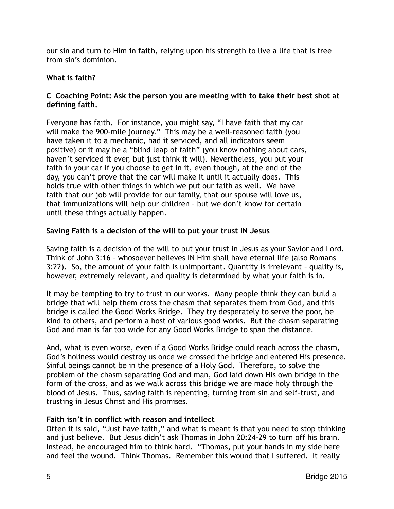our sin and turn to Him **in faith**, relying upon his strength to live a life that is free from sin's dominion.

# **What is faith?**

# **C Coaching Point: Ask the person you are meeting with to take their best shot at defining faith.**

Everyone has faith. For instance, you might say, "I have faith that my car will make the 900-mile journey." This may be a well-reasoned faith (you have taken it to a mechanic, had it serviced, and all indicators seem positive) or it may be a "blind leap of faith" (you know nothing about cars, haven't serviced it ever, but just think it will). Nevertheless, you put your faith in your car if you choose to get in it, even though, at the end of the day, you can't prove that the car will make it until it actually does. This holds true with other things in which we put our faith as well. We have faith that our job will provide for our family, that our spouse will love us, that immunizations will help our children – but we don't know for certain until these things actually happen.

# **Saving Faith is a decision of the will to put your trust IN Jesus**

Saving faith is a decision of the will to put your trust in Jesus as your Savior and Lord. Think of John 3:16 – whosoever believes IN Him shall have eternal life (also Romans 3:22). So, the amount of your faith is unimportant. Quantity is irrelevant – quality is, however, extremely relevant, and quality is determined by what your faith is in.

It may be tempting to try to trust in our works. Many people think they can build a bridge that will help them cross the chasm that separates them from God, and this bridge is called the Good Works Bridge. They try desperately to serve the poor, be kind to others, and perform a host of various good works. But the chasm separating God and man is far too wide for any Good Works Bridge to span the distance.

And, what is even worse, even if a Good Works Bridge could reach across the chasm, God's holiness would destroy us once we crossed the bridge and entered His presence. Sinful beings cannot be in the presence of a Holy God. Therefore, to solve the problem of the chasm separating God and man, God laid down His own bridge in the form of the cross, and as we walk across this bridge we are made holy through the blood of Jesus. Thus, saving faith is repenting, turning from sin and self-trust, and trusting in Jesus Christ and His promises.

# **Faith isn't in conflict with reason and intellect**

Often it is said, "Just have faith," and what is meant is that you need to stop thinking and just believe. But Jesus didn't ask Thomas in John 20:24-29 to turn off his brain. Instead, he encouraged him to think hard. "Thomas, put your hands in my side here and feel the wound. Think Thomas. Remember this wound that I suffered. It really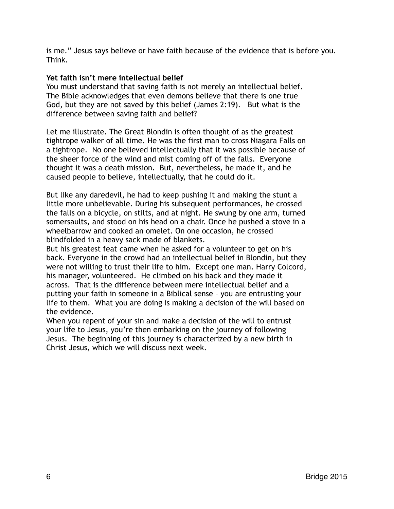is me." Jesus says believe or have faith because of the evidence that is before you. Think.

# **Yet faith isn't mere intellectual belief**

You must understand that saving faith is not merely an intellectual belief. The Bible acknowledges that even demons believe that there is one true God, but they are not saved by this belief (James 2:19). But what is the difference between saving faith and belief?

Let me illustrate. The Great Blondin is often thought of as the greatest tightrope walker of all time. He was the first man to cross Niagara Falls on a tightrope. No one believed intellectually that it was possible because of the sheer force of the wind and mist coming off of the falls. Everyone thought it was a death mission. But, nevertheless, he made it, and he caused people to believe, intellectually, that he could do it.

But like any daredevil, he had to keep pushing it and making the stunt a little more unbelievable. During his subsequent performances, he crossed the falls on a bicycle, on stilts, and at night. He swung by one arm, turned somersaults, and stood on his head on a chair. Once he pushed a stove in a wheelbarrow and cooked an omelet. On one occasion, he crossed blindfolded in a heavy sack made of blankets.

But his greatest feat came when he asked for a volunteer to get on his back. Everyone in the crowd had an intellectual belief in Blondin, but they were not willing to trust their life to him. Except one man. Harry Colcord, his manager, volunteered. He climbed on his back and they made it across. That is the difference between mere intellectual belief and a putting your faith in someone in a Biblical sense – you are entrusting your life to them. What you are doing is making a decision of the will based on the evidence.

When you repent of your sin and make a decision of the will to entrust your life to Jesus, you're then embarking on the journey of following Jesus. The beginning of this journey is characterized by a new birth in Christ Jesus, which we will discuss next week.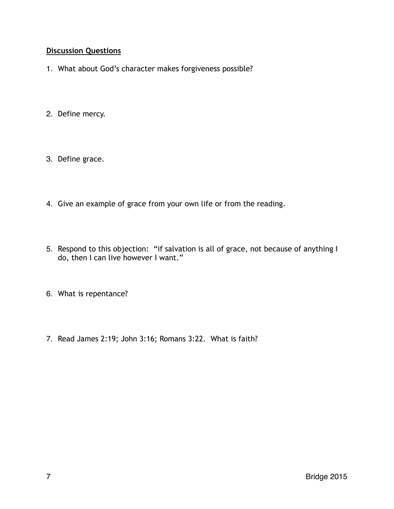# **Discussion Questions**

- 1. What about God's character makes forgiveness possible?
- 2. Define mercy.
- 3. Define grace.
- 4. Give an example of grace from your own life or from the reading.
- 5. Respond to this objection: "if salvation is all of grace, not because of anything I do, then I can live however I want."
- 6. What is repentance?
- 7. Read James 2:19; John 3:16; Romans 3:22. What is faith?